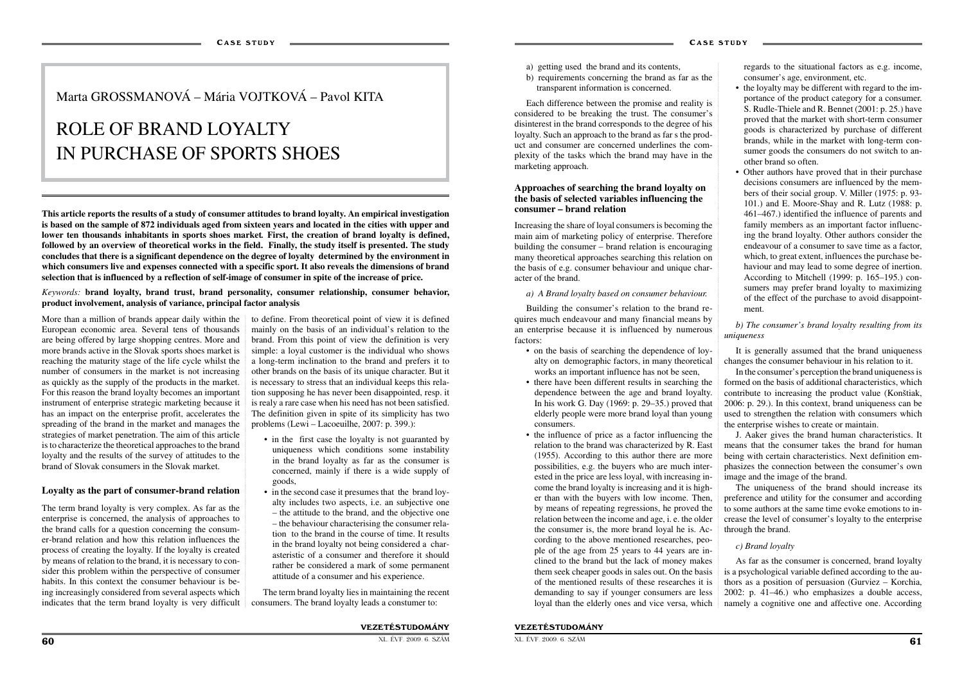More than a million of brands appear daily within the to define. From theoretical point of view it is defined European economic area. Several tens of thousands are being offered by large shopping centres. More and more brands active in the Slovak sports shoes market is reaching the maturity stage of the life cycle whilst the number of consumers in the market is not increasing as quickly as the supply of the products in the market. For this reason the brand loyalty becomes an important instrument of enterprise strategic marketing because it has an impact on the enterprise profit, accelerates the spreading of the brand in the market and manages the strategies of market penetration. The aim of this article is to characterize the theoretical approaches to the brand loyalty and the results of the survey of attitudes to the brand of Slovak consumers in the Slovak market.

#### **Loyalty as the part of consumer-brand relation**

The term brand loyalty is very complex. As far as the enterprise is concerned, the analysis of approaches to the brand calls for a question concerning the consumer-brand relation and how this relation influences the process of creating the loyalty. If the loyalty is created by means of relation to the brand, it is necessary to consider this problem within the perspective of consumer habits. In this context the consumer behaviour is being increasingly considered from several aspects which indicates that the term brand loyalty is very difficult

- in the first case the loyalty is not guaranted by uniqueness which conditions some instability in the brand loyalty as far as the consumer is concerned, mainly if there is a wide supply of goods,
- in the second case it presumes that the brand loyalty includes two aspects, i.e. an subjective one – the attitude to the brand, and the objective one – the behaviour characterising the consumer relation to the brand in the course of time. It results in the brand loyalty not being considered a charasteristic of a consumer and therefore it should rather be considered a mark of some permanent attitude of a consumer and his experience.

mainly on the basis of an individual's relation to the brand. From this point of view the definition is very simple: a loyal customer is the individual who shows a long-term inclination to the brand and prefers it to other brands on the basis of its unique character. But it is necessary to stress that an individual keeps this relation supposing he has never been disappointed, resp. it is realy a rare case when his need has not been satisfied. The definition given in spite of its simplicity has two problems (Lewi – Lacoeuilhe, 2007: p. 399.):

The term brand loyalty lies in maintaining the recent consumers. The brand loyalty leads a constumer to:

## Marta GROSSMANOVÁ – Mária VOJTKOVÁ – Pavol KITA

# ROLE OF BRAND LOYALTY IN PURCHASE OF SPORTS SHOES

**This article reports the results of a study of consumer attitudes to brand loyalty. An empirical investigation is based on the sample of 872 individuals aged from sixteen years and located in the cities with upper and lower ten thousands inhabitants in sports shoes market***.* **First, the creation of brand loyalty is defined, followed by an overview of theoretical works in the field. Finally, the study itself is presented. The study concludes that there is a significant dependence on the degree of loyalty determined by the environment in which consumers live and expenses connected with a specific sport. It also reveals the dimensions of brand selection that is influenced by a reflection of self-image of consumer in spite of the increase of price.**

#### *Keywords:* **brand loyalty, brand trust, brand personality, consumer relationship, consumer behavior, product involvement, analysis of variance, principal factor analysis**

- a) getting used the brand and its contents,
- b) requirements concerning the brand as far as the transparent information is concerned.

Each difference between the promise and reality is considered to be breaking the trust. The consumer's disinterest in the brand corresponds to the degree of his loyalty. Such an approach to the brand as far s the product and consumer are concerned underlines the complexity of the tasks which the brand may have in the marketing approach.

#### **Approaches of searching the brand loyalty on the basis of selected variables influencing the consumer – brand relation**

Increasing the share of loyal consumers is becoming the main aim of marketing policy of enterprise. Therefore building the consumer – brand relation is encouraging many theoretical approaches searching this relation on the basis of e.g. consumer behaviour and unique character of the brand.

#### *a) A Brand loyalty based on consumer behaviour.*

Building the consumer's relation to the brand requires much endeavour and many financial means by an enterprise because it is influenced by numerous factors:

- on the basis of searching the dependence of loyalty on demographic factors, in many theoretical works an important influence has not be seen,
- there have been different results in searching the dependence between the age and brand loyalty. In his work G. Day (1969: p. 29–35.) proved that elderly people were more brand loyal than young consumers.
- the influence of price as a factor influencing the relation to the brand was characterized by R. East (1955). According to this author there are more possibilities, e.g. the buyers who are much interested in the price are less loyal, with increasing income the brand loyalty is increasing and it is higher than with the buyers with low income. Then, by means of repeating regressions, he proved the relation between the income and age, i. e. the older the consumer is, the more brand loyal he is. According to the above mentioned researches, people of the age from 25 years to 44 years are inclined to the brand but the lack of money makes them seek cheaper goods in sales out. On the basis of the mentioned results of these researches it is demanding to say if younger consumers are less loyal than the elderly ones and vice versa, which

regards to the situational factors as e.g. income, consumer's age, environment, etc.

- the loyalty may be different with regard to the importance of the product category for a consumer. S. Rudle-Thiele and R. Bennet (2001: p. 25.) have proved that the market with short-term consumer goods is characterized by purchase of different brands, while in the market with long-term consumer goods the consumers do not switch to another brand so often.
- Other authors have proved that in their purchase decisions consumers are influenced by the members of their social group. V. Miller (1975: p. 93- 101.) and E. Moore-Shay and R. Lutz (1988: p. 461–467.) identified the influence of parents and family members as an important factor influencing the brand loyalty. Other authors consider the endeavour of a consumer to save time as a factor, which, to great extent, influences the purchase behaviour and may lead to some degree of inertion. According to Mitchell (1999: p. 165–195.) consumers may prefer brand loyalty to maximizing of the effect of the purchase to avoid disappointment.

#### *b) The consumer's brand loyalty resulting from its uniqueness*

It is generally assumed that the brand uniqueness changes the consumer behaviour in his relation to it.

In the consumer's perception the brand uniqueness is formed on the basis of additional characteristics, which contribute to increasing the product value (Konštiak, 2006: p. 29.). In this context, brand uniqueness can be used to strengthen the relation with consumers which the enterprise wishes to create or maintain.

J. Aaker gives the brand human characteristics. It means that the consumer takes the brand for human being with certain characteristics. Next definition em-

phasizes the connection between the consumer's own image and the image of the brand. The uniqueness of the brand should increase its preference and utility for the consumer and according to some authors at the same time evoke emotions to increase the level of consumer's loyalty to the enterprise through the brand.

#### *c) Brand loyalty*

As far as the consumer is concerned, brand loyalty is a psychological variable defined according to the authors as a position of persuasion (Gurviez – Korchia, 2002: p. 41–46.) who emphasizes a double access, namely a cognitive one and affective one. According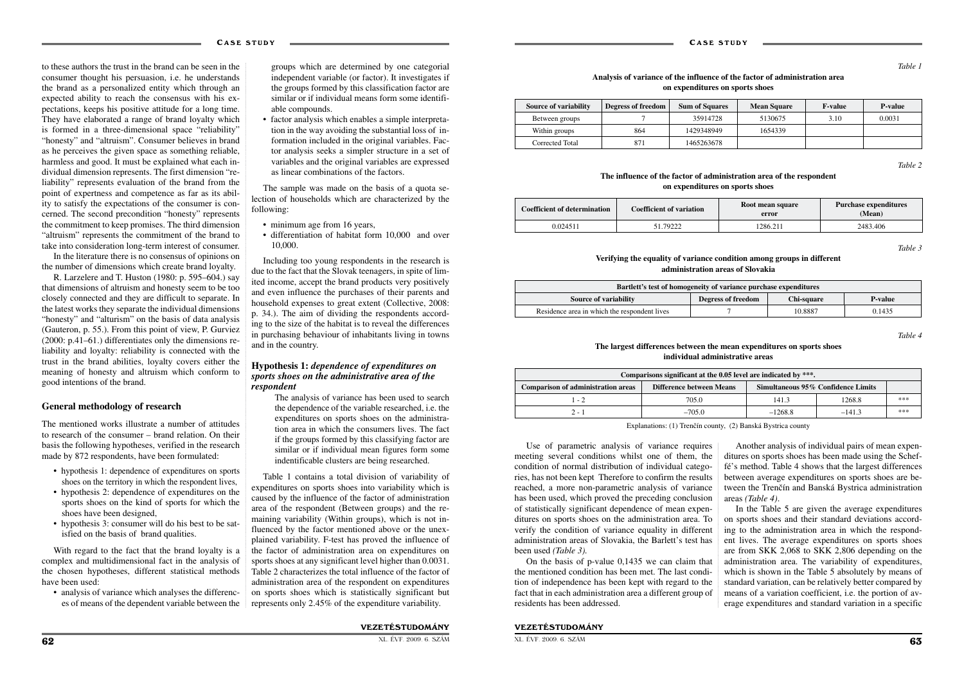#### VEZETÉSTUDOMÁNY

to these authors the trust in the brand can be seen in the consumer thought his persuasion, i.e. he understands the brand as a personalized entity which through an expected ability to reach the consensus with his expectations, keeps his positive attitude for a long time. They have elaborated a range of brand loyalty which is formed in a three-dimensional space "reliability" "honesty" and "altruism". Consumer believes in brand as he perceives the given space as something reliable, harmless and good. It must be explained what each individual dimension represents. The first dimension "reliability" represents evaluation of the brand from the point of expertness and competence as far as its ability to satisfy the expectations of the consumer is concerned. The second precondition "honesty" represents the commitment to keep promises. The third dimension "altruism" represents the commitment of the brand to take into consideration long-term interest of consumer.

In the literature there is no consensus of opinions on the number of dimensions which create brand loyalty.

R. Larzelere and T. Huston (1980: p. 595–604.) say that dimensions of altruism and honesty seem to be too closely connected and they are difficult to separate. In the latest works they separate the individual dimensions "honesty" and "alturism" on the basis of data analysis (Gauteron, p. 55.). From this point of view, P. Gurviez (2000: p.41–61.) differentiates only the dimensions reliability and loyalty: reliability is connected with the trust in the brand abilities, loyalty covers either the meaning of honesty and altruism which conform to good intentions of the brand.

- minimum age from 16 years,
- differentiation of habitat form 10,000 and over 10,000.

#### **General methodology of research**

The mentioned works illustrate a number of attitudes to research of the consumer – brand relation. On their basis the following hypotheses, verified in the research made by 872 respondents, have been formulated:

- hypothesis 1: dependence of expenditures on sports shoes on the territory in which the respondent lives,
- hypothesis 2: dependence of expenditures on the sports shoes on the kind of sports for which the shoes have been designed,
- hypothesis 3: consumer will do his best to be satisfied on the basis of brand qualities.

With regard to the fact that the brand loyalty is a complex and multidimensional fact in the analysis of the chosen hypotheses, different statistical methods have been used:

• analysis of variance which analyses the differences of means of the dependent variable between the

groups which are determined by one categorial independent variable (or factor). It investigates if the groups formed by this classification factor are similar or if individual means form some identifiable compounds.

• factor analysis which enables a simple interpretation in the way avoiding the substantial loss of information included in the original variables. Factor analysis seeks a simpler structure in a set of variables and the original variables are expressed as linear combinations of the factors.

The sample was made on the basis of a quota selection of households which are characterized by the following:

Including too young respondents in the research is due to the fact that the Slovak teenagers, in spite of limited income, accept the brand products very positively and even influence the purchases of their parents and household expenses to great extent (Collective, 2008: p. 34.). The aim of dividing the respondents according to the size of the habitat is to reveal the differences in purchasing behaviour of inhabitants living in towns and in the country.

#### **Hypothesis 1:** *dependence of expenditures on sports shoes on the administrative area of the respondent*

The analysis of variance has been used to search the dependence of the variable researched, i.e. the expenditures on sports shoes on the administration area in which the consumers lives. The fact if the groups formed by this classifying factor are similar or if individual mean figures form some indentificable clusters are being researched.

Table 1 contains a total division of variability of expenditures on sports shoes into variability which is caused by the influence of the factor of administration area of the respondent (Between groups) and the remaining variability (Within groups), which is not influenced by the factor mentioned above or the unexplained variability. F-test has proved the influence of the factor of administration area on expenditures on sports shoes at any significant level higher than 0.0031. Table 2 characterizes the total influence of the factor of administration area of the respondent on expenditures on sports shoes which is statistically significant but represents only 2.45% of the expenditure variability.

*Table 4*

#### **The largest differences between the mean expenditures on sports shoes individual administrative areas**

Explanations: (1) Trenčín county, (2) Banská Bystrica county

Use of parametric analysis of variance requires meeting several conditions whilst one of them, the condition of normal distribution of individual categories, has not been kept Therefore to confirm the results reached, a more non-parametric analysis of variance has been used, which proved the preceding conclusion of statistically significant dependence of mean expenditures on sports shoes on the administration area. To verify the condition of variance equality in different administration areas of Slovakia, the Barlett's test has been used *(Table 3).*

On the basis of p-value 0,1435 we can claim that the mentioned condition has been met. The last condition of independence has been kept with regard to the fact that in each administration area a different group of residents has been addressed.

Another analysis of individual pairs of mean expenditures on sports shoes has been made using the Scheffé's method. Table 4 shows that the largest differences between average expenditures on sports shoes are between the Trenčín and Banská Bystrica administration areas *(Table 4)*.

In the Table 5 are given the average expenditures on sports shoes and their standard deviations according to the administration area in which the respondent lives. The average expenditures on sports shoes are from SKK 2,068 to SKK 2,806 depending on the administration area. The variability of expenditures, which is shown in the Table 5 absolutely by means of standard variation, can be relatively better compared by means of a variation coefficient, i.e. the portion of average expenditures and standard variation in a specific

| Source of variability | Degress of freedom | <b>Sum of Squares</b> | <b>Mean Square</b> | <b>F-value</b> | <b>P</b> -value |
|-----------------------|--------------------|-----------------------|--------------------|----------------|-----------------|
| Between groups        |                    | 35914728              | 5130675            | 3.10           | 0.0031          |
| Within groups         | 864                | 1429348949            | 1654339            |                |                 |
| Corrected Total       | 871                | 1465263678            |                    |                |                 |

#### *Table 1*

### **Analysis of variance of the influence of the factor of administration area on expenditures on sports shoes**

*Table 2*

#### **The influence of the factor of administration area of the respondent on expenditures on sports shoes**

*Table 3*

#### **Verifying the equality of variance condition among groups in different administration areas of Slovakia**

| <b>Coefficient of determination</b> | <b>Coefficient of variation</b> | Root mean square<br>error | <b>Purchase expenditures</b><br>(Mean) |
|-------------------------------------|---------------------------------|---------------------------|----------------------------------------|
| 0.024511                            | 51.79222                        | 1286.211                  | 2483.406                               |

| Bartlett's test of homogeneity of variance purchase expenditures |                                  |         |                |  |  |
|------------------------------------------------------------------|----------------------------------|---------|----------------|--|--|
| Source of variability                                            | Degress of freedom<br>Chi-square |         | <b>P-value</b> |  |  |
| Residence area in which the respondent lives                     |                                  | 10.8887 | 0.1435         |  |  |

| Comparisons significant at the $0.05$ level are indicated by ***. |                                 |                                    |          |     |  |  |
|-------------------------------------------------------------------|---------------------------------|------------------------------------|----------|-----|--|--|
| <b>Comparison of administration areas</b>                         | <b>Difference between Means</b> | Simultaneous 95% Confidence Limits |          |     |  |  |
| $-2$                                                              | 705.0                           | 141.3                              | 1268.8   | *** |  |  |
| $2 - 1$                                                           | $-705.0$                        | $-1268.8$                          | $-141.3$ | *** |  |  |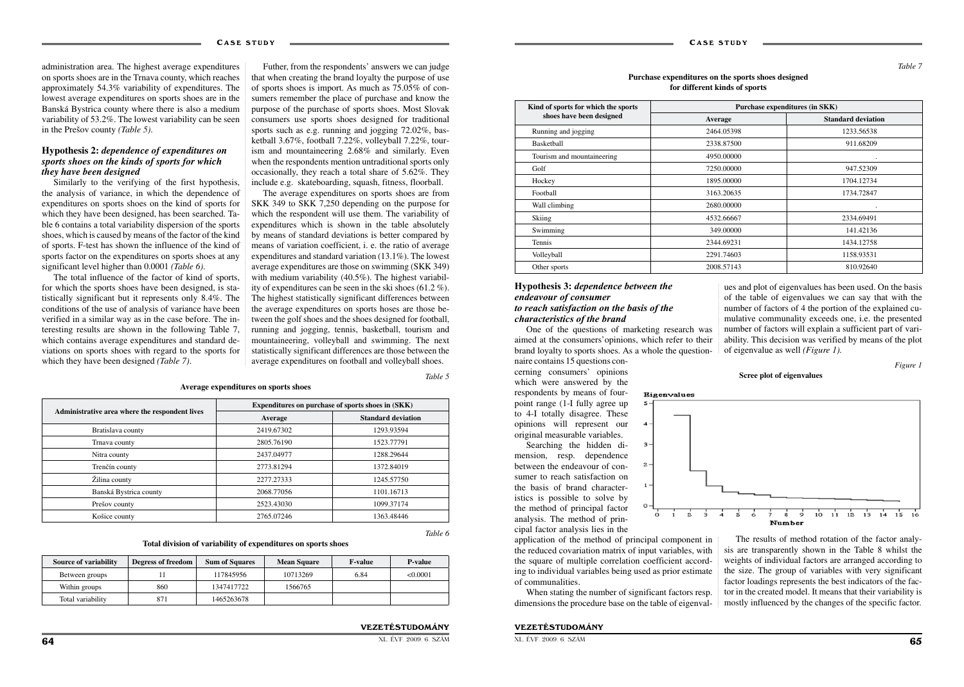#### VEZETÉSTUDOMÁNY

XL. ÉVF. 2009. 6. SZÁM 65 századott a megaszteredette a megaszteredette a megaszteredette a megaszteredette a  $65$ 

administration area. The highest average expenditures on sports shoes are in the Trnava county, which reaches approximately 54.3% variability of expenditures. The lowest average expenditures on sports shoes are in the Banská Bystrica county where there is also a medium variability of 53.2%. The lowest variability can be seen in the Prešov county *(Table 5)*.

#### **Hypothesis 2:** *dependence of expenditures on sports shoes on the kinds of sports for which they have been designed*

Similarly to the verifying of the first hypothesis, the analysis of variance, in which the dependence of expenditures on sports shoes on the kind of sports for which they have been designed, has been searched. Table 6 contains a total variability dispersion of the sports shoes, which is caused by means of the factor of the kind of sports. F-test has shown the influence of the kind of sports factor on the expenditures on sports shoes at any significant level higher than 0.0001 *(Table 6)*.

The total influence of the factor of kind of sports, for which the sports shoes have been designed, is statistically significant but it represents only 8.4%. The conditions of the use of analysis of variance have been verified in a similar way as in the case before. The interesting results are shown in the following Table 7, which contains average expenditures and standard deviations on sports shoes with regard to the sports for which they have been designed *(Table 7)*.

Futher, from the respondents' answers we can judge that when creating the brand loyalty the purpose of use of sports shoes is import. As much as 75.05% of consumers remember the place of purchase and know the purpose of the purchase of sports shoes. Most Slovak consumers use sports shoes designed for traditional sports such as e.g. running and jogging 72.02%, basketball 3.67%, football 7.22%, volleyball 7.22%, tourism and mountaineering 2.68% and similarly. Even when the respondents mention untraditional sports only occasionally, they reach a total share of 5.62%. They include e.g. skateboarding, squash, fitness, floorball.

The average expenditures on sports shoes are from SKK 349 to SKK 7,250 depending on the purpose for which the respondent will use them. The variability of expenditures which is shown in the table absolutely by means of standard deviations is better compared by means of variation coefficient, i. e. the ratio of average expenditures and standard variation (13.1%). The lowest average expenditures are those on swimming (SKK 349) with medium variability (40.5%). The highest variability of expenditures can be seen in the ski shoes (61.2 %). The highest statistically significant differences between the average expenditures on sports hoses are those between the golf shoes and the shoes designed for football, running and jogging, tennis, basketball, tourism and mountaineering, volleyball and swimming. The next statistically significant differences are those between the average expenditures on football and volleyball shoes.

*Table 5*

**Average expenditures on sports shoes**

*Table 6*

#### **Total division of variability of expenditures on sports shoes**

|                                                | Expenditures on purchase of sports shoes in (SKK) |                           |  |  |
|------------------------------------------------|---------------------------------------------------|---------------------------|--|--|
| Administrative area where the respondent lives | Average                                           | <b>Standard deviation</b> |  |  |
| Bratislava county                              | 2419.67302                                        | 1293.93594                |  |  |
| Trnava county                                  | 2805.76190                                        | 1523.77791                |  |  |
| Nitra county                                   | 2437.04977                                        | 1288.29644                |  |  |
| Trenčín county                                 | 2773.81294                                        | 1372.84019                |  |  |
| Žilina county                                  | 2277.27333                                        | 1245.57750                |  |  |
| Banská Bystrica county                         | 2068.77056                                        | 1101.16713                |  |  |
| Prešov county                                  | 2523.43030                                        | 1099.37174                |  |  |
| Košice county                                  | 2765.07246                                        | 1363.48446                |  |  |

| Source of variability | Degress of freedom | <b>Sum of Squares</b> | <b>Mean Square</b> | <b>F-value</b> | <b>P-value</b> |
|-----------------------|--------------------|-----------------------|--------------------|----------------|----------------|
| Between groups        |                    | 117845956             | 10713269           | 6.84           | < 0.0001       |
| Within groups         | 860                | 1347417722            | 1566765            |                |                |
| Total variability     | 871                | 1465263678            |                    |                |                |

#### **Hypothesis 3:** *dependence between the endeavour of consumer to reach satisfaction on the basis of the characteristics of the brand*

One of the questions of marketing research was aimed at the consumers'opinions, which refer to their brand loyalty to sports shoes. As a whole the question-

naire contains 15 questions concerning consumers' opinions which were answered by the respondents by means of fourpoint range (1-I fully agree up to 4-I totally disagree. These opinions will represent our original measurable variables.

Searching the hidden dimension, resp. dependence between the endeavour of consumer to reach satisfaction on the basis of brand characteristics is possible to solve by the method of principal factor analysis. The method of principal factor analysis lies in the

application of the method of principal component in the reduced covariation matrix of input variables, with the square of multiple correlation coefficient according to individual variables being used as prior estimate of communalities.

When stating the number of significant factors resp. dimensions the procedure base on the table of eigenvalues and plot of eigenvalues has been used. On the basis of the table of eigenvalues we can say that with the number of factors of 4 the portion of the explained cumulative communality exceeds one, i.e. the presented number of factors will explain a sufficient part of variability. This decision was verified by means of the plot of eigenvalue as well *(Figure 1).*

The results of method rotation of the factor analysis are transparently shown in the Table 8 whilst the weights of individual factors are arranged according to the size. The group of variables with very significant factor loadings represents the best indicators of the factor in the created model. It means that their variability is mostly influenced by the changes of the specific factor.

*Table 7*

#### **Purchase expenditures on the sports shoes designed for different kinds of sports**

| Kind of sports for which the sports | Purchase expenditures (in SKK) |                           |  |  |
|-------------------------------------|--------------------------------|---------------------------|--|--|
| shoes have been designed            | Average                        | <b>Standard deviation</b> |  |  |
| Running and jogging                 | 2464.05398                     | 1233.56538                |  |  |
| Basketball                          | 2338.87500                     | 911.68209                 |  |  |
| Tourism and mountaineering          | 4950.00000                     |                           |  |  |
| Golf                                | 7250.00000                     | 947.52309                 |  |  |
| Hockey                              | 1895.00000                     | 1704.12734                |  |  |
| Football                            | 3163.20635                     | 1734.72847                |  |  |
| Wall climbing                       | 2680.00000                     |                           |  |  |
| Skiing                              | 4532.66667                     | 2334.69491                |  |  |
| Swimming                            | 349,00000                      | 141.42136                 |  |  |
| Tennis                              | 2344.69231                     | 1434.12758                |  |  |
| Volleyball                          | 2291.74603                     | 1158.93531                |  |  |
| Other sports                        | 2008.57143                     | 810.92640                 |  |  |

*Figure 1*

#### **Scree plot of eigenvalues**